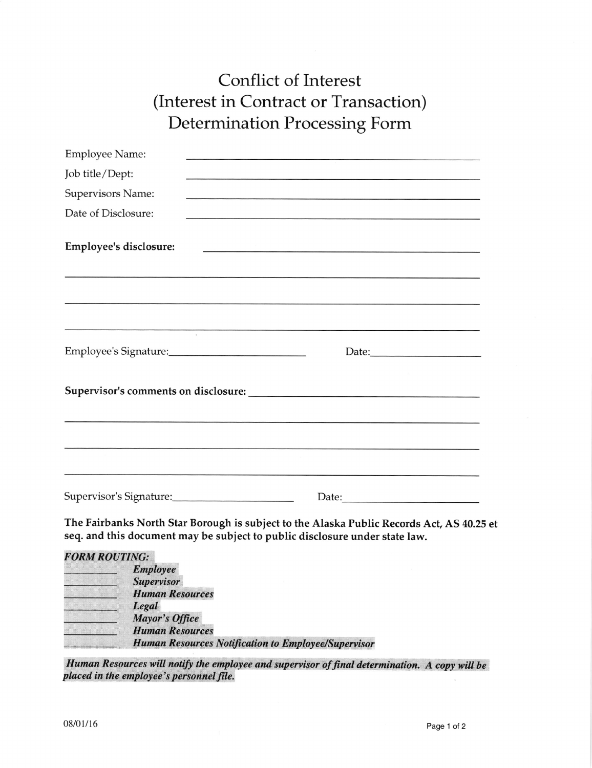## **Conflict of Interest** (Interest in Contract or Transaction) Determination Processing Form

| <b>Employee Name:</b>   |                                                                                                                                                                                                                                |  |
|-------------------------|--------------------------------------------------------------------------------------------------------------------------------------------------------------------------------------------------------------------------------|--|
| Job title/Dept:         |                                                                                                                                                                                                                                |  |
| Supervisors Name:       |                                                                                                                                                                                                                                |  |
| Date of Disclosure:     |                                                                                                                                                                                                                                |  |
| Employee's disclosure:  |                                                                                                                                                                                                                                |  |
|                         | the contract of the contract of the contract of the contract of the contract of the contract of the contract of the contract of the contract of the contract of the contract of the contract of the contract of the contract o |  |
|                         |                                                                                                                                                                                                                                |  |
|                         |                                                                                                                                                                                                                                |  |
|                         |                                                                                                                                                                                                                                |  |
|                         |                                                                                                                                                                                                                                |  |
|                         |                                                                                                                                                                                                                                |  |
| Supervisor's Signature: |                                                                                                                                                                                                                                |  |

The Fairbanks North Star Borough is subject to the Alaska Public Records Act, AS 40.25 et seq. and this document may be subject to public disclosure under state law.

**FORM ROUTING: Employee Supervisor Human Resources** Legal **Mayor's Office Human Resources Human Resources Notification to Employee/Supervisor** 

Human Resources will notify the employee and supervisor of final determination. A copy will be placed in the employee's personnel file.